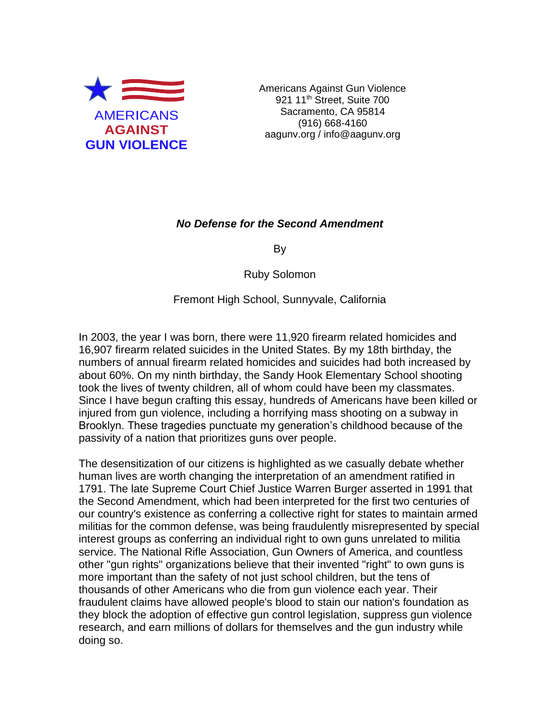

Americans Against Gun Violence 921 11<sup>th</sup> Street, Suite 700 Sacramento, CA 95814 (916) 668-4160 aagunv.org / info@aagunv.org

## *No Defense for the Second Amendment*

By

Ruby Solomon

Fremont High School, Sunnyvale, California

In 2003, the year I was born, there were 11,920 firearm related homicides and 16,907 firearm related suicides in the United States. By my 18th birthday, the numbers of annual firearm related homicides and suicides had both increased by about 60%. On my ninth birthday, the Sandy Hook Elementary School shooting took the lives of twenty children, all of whom could have been my classmates. Since I have begun crafting this essay, hundreds of Americans have been killed or injured from gun violence, including a horrifying mass shooting on a subway in Brooklyn. These tragedies punctuate my generation's childhood because of the passivity of a nation that prioritizes guns over people.

The desensitization of our citizens is highlighted as we casually debate whether human lives are worth changing the interpretation of an amendment ratified in 1791. The late Supreme Court Chief Justice Warren Burger asserted in 1991 that the Second Amendment, which had been interpreted for the first two centuries of our country's existence as conferring a collective right for states to maintain armed militias for the common defense, was being fraudulently misrepresented by special interest groups as conferring an individual right to own guns unrelated to militia service. The National Rifle Association, Gun Owners of America, and countless other "gun rights" organizations believe that their invented "right" to own guns is more important than the safety of not just school children, but the tens of thousands of other Americans who die from gun violence each year. Their fraudulent claims have allowed people's blood to stain our nation's foundation as they block the adoption of effective gun control legislation, suppress gun violence research, and earn millions of dollars for themselves and the gun industry while doing so.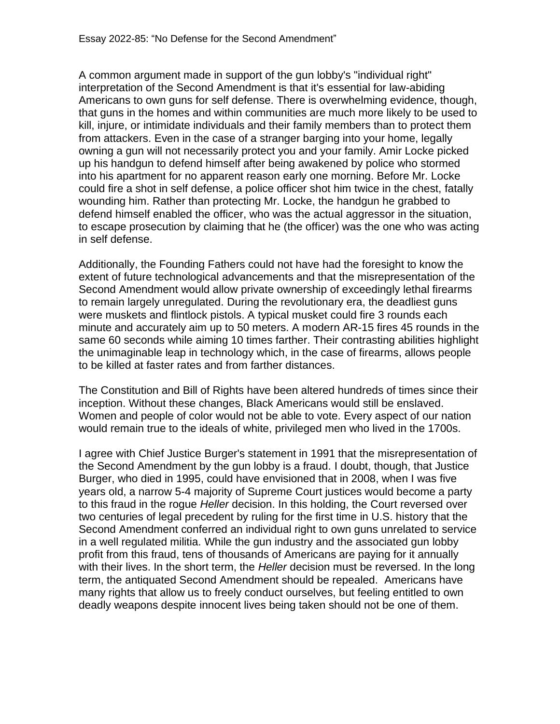A common argument made in support of the gun lobby's "individual right" interpretation of the Second Amendment is that it's essential for law-abiding Americans to own guns for self defense. There is overwhelming evidence, though, that guns in the homes and within communities are much more likely to be used to kill, injure, or intimidate individuals and their family members than to protect them from attackers. Even in the case of a stranger barging into your home, legally owning a gun will not necessarily protect you and your family. Amir Locke picked up his handgun to defend himself after being awakened by police who stormed into his apartment for no apparent reason early one morning. Before Mr. Locke could fire a shot in self defense, a police officer shot him twice in the chest, fatally wounding him. Rather than protecting Mr. Locke, the handgun he grabbed to defend himself enabled the officer, who was the actual aggressor in the situation, to escape prosecution by claiming that he (the officer) was the one who was acting in self defense.

Additionally, the Founding Fathers could not have had the foresight to know the extent of future technological advancements and that the misrepresentation of the Second Amendment would allow private ownership of exceedingly lethal firearms to remain largely unregulated. During the revolutionary era, the deadliest guns were muskets and flintlock pistols. A typical musket could fire 3 rounds each minute and accurately aim up to 50 meters. A modern AR-15 fires 45 rounds in the same 60 seconds while aiming 10 times farther. Their contrasting abilities highlight the unimaginable leap in technology which, in the case of firearms, allows people to be killed at faster rates and from farther distances.

The Constitution and Bill of Rights have been altered hundreds of times since their inception. Without these changes, Black Americans would still be enslaved. Women and people of color would not be able to vote. Every aspect of our nation would remain true to the ideals of white, privileged men who lived in the 1700s.

I agree with Chief Justice Burger's statement in 1991 that the misrepresentation of the Second Amendment by the gun lobby is a fraud. I doubt, though, that Justice Burger, who died in 1995, could have envisioned that in 2008, when I was five years old, a narrow 5-4 majority of Supreme Court justices would become a party to this fraud in the rogue *Heller* decision. In this holding, the Court reversed over two centuries of legal precedent by ruling for the first time in U.S. history that the Second Amendment conferred an individual right to own guns unrelated to service in a well regulated militia. While the gun industry and the associated gun lobby profit from this fraud, tens of thousands of Americans are paying for it annually with their lives. In the short term, the *Heller* decision must be reversed. In the long term, the antiquated Second Amendment should be repealed. Americans have many rights that allow us to freely conduct ourselves, but feeling entitled to own deadly weapons despite innocent lives being taken should not be one of them.